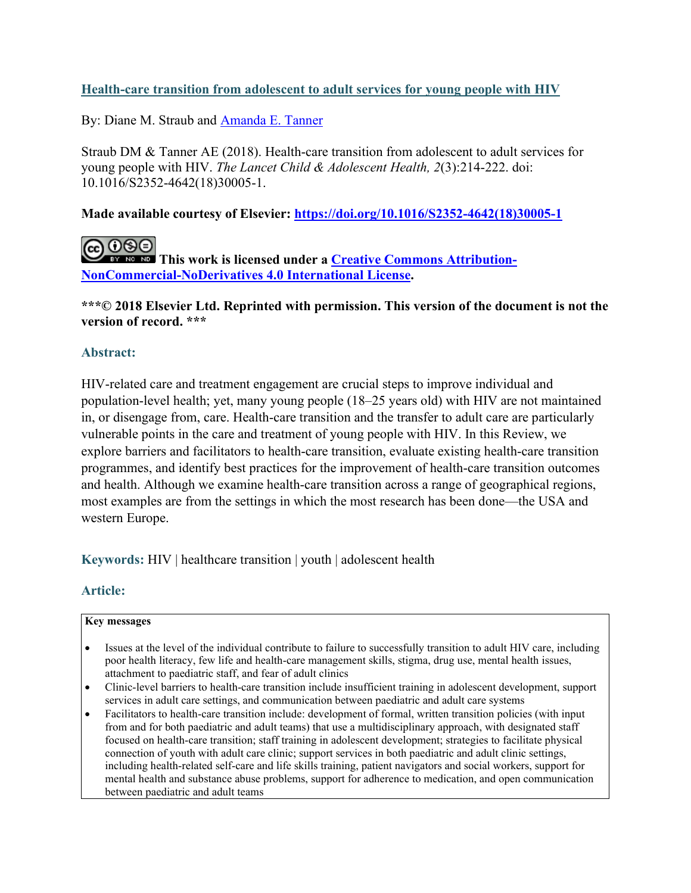## **Health-care transition from adolescent to adult services for young people with HIV**

By: Diane M. Straub and [Amanda E. Tanner](https://libres.uncg.edu/ir/uncg/clist.aspx?id=7746)

Straub DM & Tanner AE (2018). Health-care transition from adolescent to adult services for young people with HIV. *The Lancet Child & Adolescent Health, 2*(3):214-222. doi: 10.1016/S2352-4642(18)30005-1.

## **Made available courtesy of Elsevier: [https://doi.org/10.1016/S2352-4642\(18\)30005-1](https://doi.org/10.1016/S2352-4642(18)30005-1)**

# ര0®ി

**EX NO ND** This work is licensed under a **Creative Commons Attribution-[NonCommercial-NoDerivatives 4.0 International License.](http://creativecommons.org/licenses/by-nc-nd/4.0/)**

#### **\*\*\*© 2018 Elsevier Ltd. Reprinted with permission. This version of the document is not the version of record. \*\*\***

## **Abstract:**

HIV-related care and treatment engagement are crucial steps to improve individual and population-level health; yet, many young people (18–25 years old) with HIV are not maintained in, or disengage from, care. Health-care transition and the transfer to adult care are particularly vulnerable points in the care and treatment of young people with HIV. In this Review, we explore barriers and facilitators to health-care transition, evaluate existing health-care transition programmes, and identify best practices for the improvement of health-care transition outcomes and health. Although we examine health-care transition across a range of geographical regions, most examples are from the settings in which the most research has been done—the USA and western Europe.

**Keywords:** HIV | healthcare transition | youth | adolescent health

## **Article:**

#### **Key messages**

- Issues at the level of the individual contribute to failure to successfully transition to adult HIV care, including poor health literacy, few life and health-care management skills, stigma, drug use, mental health issues, attachment to paediatric staff, and fear of adult clinics
- Clinic-level barriers to health-care transition include insufficient training in adolescent development, support services in adult care settings, and communication between paediatric and adult care systems
- Facilitators to health-care transition include: development of formal, written transition policies (with input from and for both paediatric and adult teams) that use a multidisciplinary approach, with designated staff focused on health-care transition; staff training in adolescent development; strategies to facilitate physical connection of youth with adult care clinic; support services in both paediatric and adult clinic settings, including health-related self-care and life skills training, patient navigators and social workers, support for mental health and substance abuse problems, support for adherence to medication, and open communication between paediatric and adult teams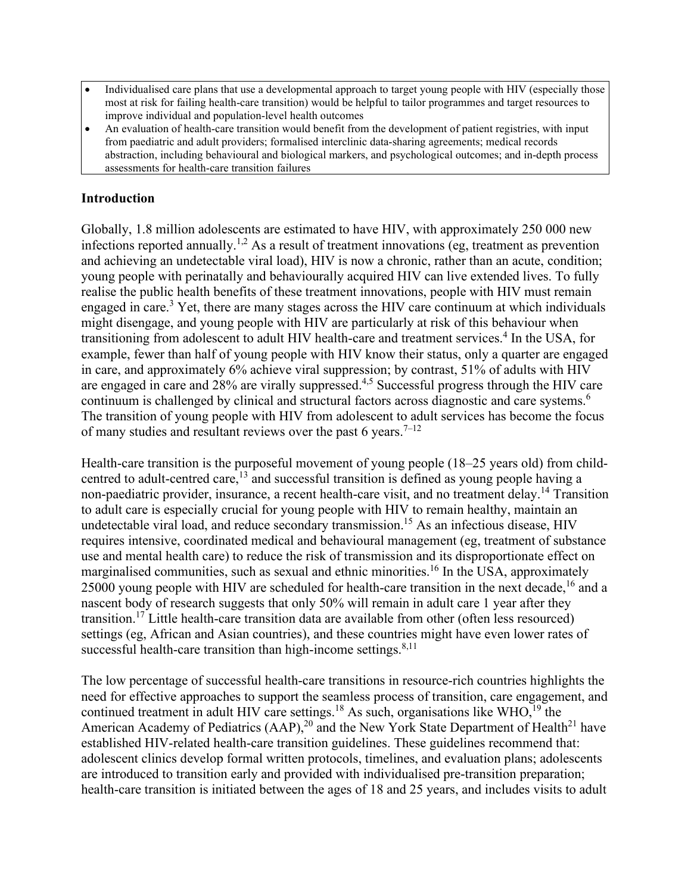- Individualised care plans that use a developmental approach to target young people with HIV (especially those most at risk for failing health-care transition) would be helpful to tailor programmes and target resources to improve individual and population-level health outcomes
- An evaluation of health-care transition would benefit from the development of patient registries, with input from paediatric and adult providers; formalised interclinic data-sharing agreements; medical records abstraction, including behavioural and biological markers, and psychological outcomes; and in-depth process assessments for health-care transition failures

## **Introduction**

Globally, 1.8 million adolescents are estimated to have HIV, with approximately 250 000 new infections reported annually.<sup>1,2</sup> As a result of treatment innovations (eg, treatment as prevention and achieving an undetectable viral load), HIV is now a chronic, rather than an acute, condition; young people with perinatally and behaviourally acquired HIV can live extended lives. To fully realise the public health benefits of these treatment innovations, people with HIV must remain engaged in care.<sup>3</sup> Yet, there are many stages across the HIV care continuum at which individuals might disengage, and young people with HIV are particularly at risk of this behaviour when transitioning from adolescent to adult HIV health-care and treatment services.<sup>4</sup> In the USA, for example, fewer than half of young people with HIV know their status, only a quarter are engaged in care, and approximately 6% achieve viral suppression; by contrast, 51% of adults with HIV are engaged in care and 28% are virally suppressed.<sup>4,5</sup> Successful progress through the HIV care continuum is challenged by clinical and structural factors across diagnostic and care systems.<sup>6</sup> The transition of young people with HIV from adolescent to adult services has become the focus of many studies and resultant reviews over the past 6 years.<sup>7–12</sup>

Health-care transition is the purposeful movement of young people (18–25 years old) from childcentred to adult-centred care,  $^{13}$  and successful transition is defined as young people having a non-paediatric provider, insurance, a recent health-care visit, and no treatment delay.<sup>14</sup> Transition to adult care is especially crucial for young people with HIV to remain healthy, maintain an undetectable viral load, and reduce secondary transmission.<sup>15</sup> As an infectious disease, HIV requires intensive, coordinated medical and behavioural management (eg, treatment of substance use and mental health care) to reduce the risk of transmission and its disproportionate effect on marginalised communities, such as sexual and ethnic minorities.<sup>16</sup> In the USA, approximately 25000 young people with HIV are scheduled for health-care transition in the next decade,  $16$  and a nascent body of research suggests that only 50% will remain in adult care 1 year after they transition.<sup>17</sup> Little health-care transition data are available from other (often less resourced) settings (eg, African and Asian countries), and these countries might have even lower rates of successful health-care transition than high-income settings. $8,11$ 

The low percentage of successful health-care transitions in resource-rich countries highlights the need for effective approaches to support the seamless process of transition, care engagement, and continued treatment in adult HIV care settings.<sup>18</sup> As such, organisations like WHO,<sup>19</sup> the American Academy of Pediatrics (AAP),<sup>20</sup> and the New York State Department of Health<sup>21</sup> have established HIV-related health-care transition guidelines. These guidelines recommend that: adolescent clinics develop formal written protocols, timelines, and evaluation plans; adolescents are introduced to transition early and provided with individualised pre-transition preparation; health-care transition is initiated between the ages of 18 and 25 years, and includes visits to adult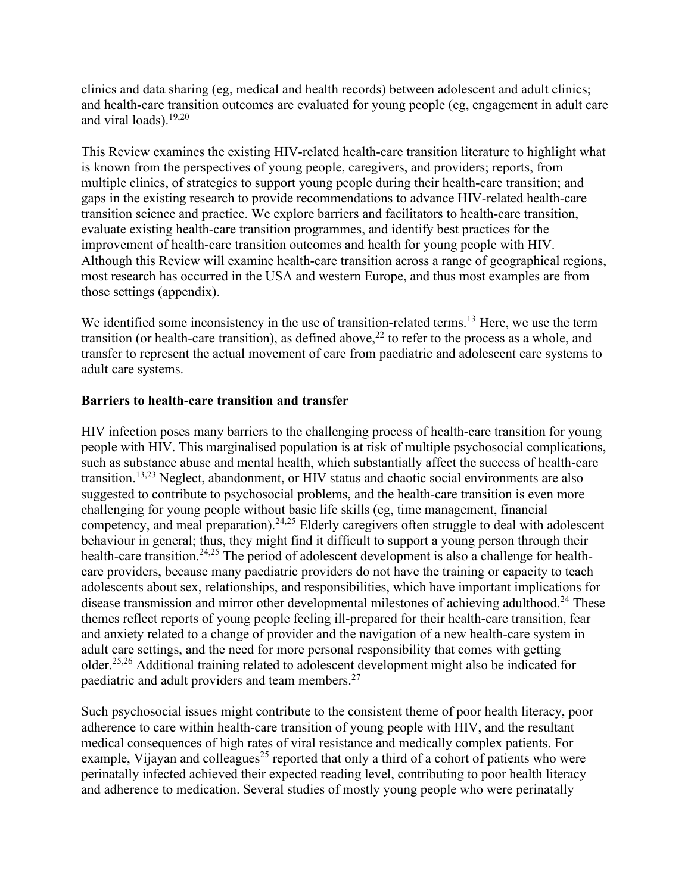clinics and data sharing (eg, medical and health records) between adolescent and adult clinics; and health-care transition outcomes are evaluated for young people (eg, engagement in adult care and viral loads).<sup>19,20</sup>

This Review examines the existing HIV-related health-care transition literature to highlight what is known from the perspectives of young people, caregivers, and providers; reports, from multiple clinics, of strategies to support young people during their health-care transition; and gaps in the existing research to provide recommendations to advance HIV-related health-care transition science and practice. We explore barriers and facilitators to health-care transition, evaluate existing health-care transition programmes, and identify best practices for the improvement of health-care transition outcomes and health for young people with HIV. Although this Review will examine health-care transition across a range of geographical regions, most research has occurred in the USA and western Europe, and thus most examples are from those settings (appendix).

We identified some inconsistency in the use of transition-related terms.<sup>13</sup> Here, we use the term transition (or health-care transition), as defined above,  $^{22}$  to refer to the process as a whole, and transfer to represent the actual movement of care from paediatric and adolescent care systems to adult care systems.

### **Barriers to health-care transition and transfer**

HIV infection poses many barriers to the challenging process of health-care transition for young people with HIV. This marginalised population is at risk of multiple psychosocial complications, such as substance abuse and mental health, which substantially affect the success of health-care transition.<sup>13,23</sup> Neglect, abandonment, or HIV status and chaotic social environments are also suggested to contribute to psychosocial problems, and the health-care transition is even more challenging for young people without basic life skills (eg, time management, financial competency, and meal preparation).<sup>24,25</sup> Elderly caregivers often struggle to deal with adolescent behaviour in general; thus, they might find it difficult to support a young person through their health-care transition.<sup>24,25</sup> The period of adolescent development is also a challenge for healthcare providers, because many paediatric providers do not have the training or capacity to teach adolescents about sex, relationships, and responsibilities, which have important implications for disease transmission and mirror other developmental milestones of achieving adulthood.<sup>24</sup> These themes reflect reports of young people feeling ill-prepared for their health-care transition, fear and anxiety related to a change of provider and the navigation of a new health-care system in adult care settings, and the need for more personal responsibility that comes with getting older.25,26 Additional training related to adolescent development might also be indicated for paediatric and adult providers and team members.<sup>27</sup>

Such psychosocial issues might contribute to the consistent theme of poor health literacy, poor adherence to care within health-care transition of young people with HIV, and the resultant medical consequences of high rates of viral resistance and medically complex patients. For example, Vijayan and colleagues<sup>25</sup> reported that only a third of a cohort of patients who were perinatally infected achieved their expected reading level, contributing to poor health literacy and adherence to medication. Several studies of mostly young people who were perinatally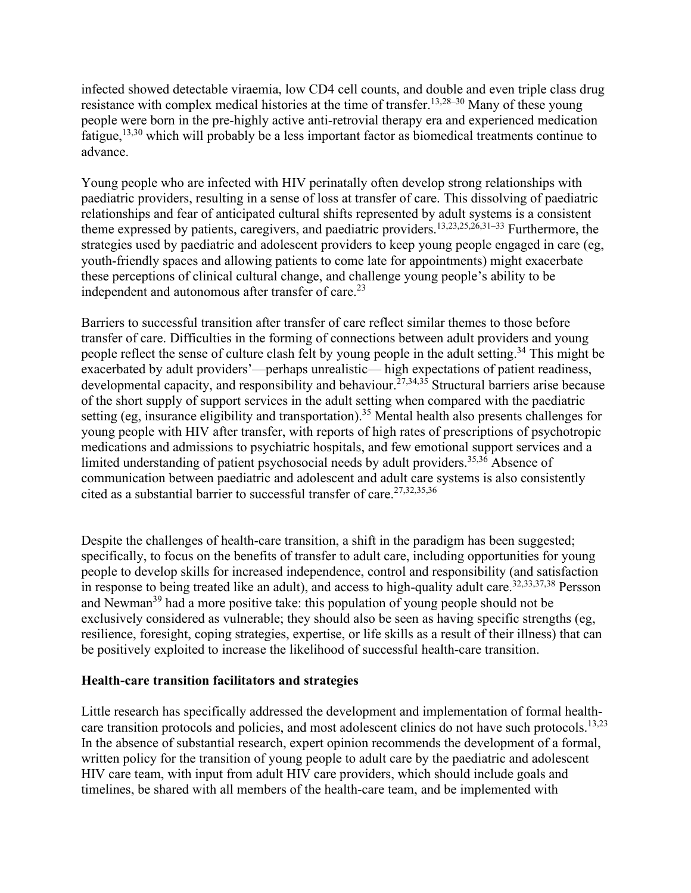infected showed detectable viraemia, low CD4 cell counts, and double and even triple class drug resistance with complex medical histories at the time of transfer.13,28–30 Many of these young people were born in the pre-highly active anti-retrovial therapy era and experienced medication fatigue,  $13,30$  which will probably be a less important factor as biomedical treatments continue to advance.

Young people who are infected with HIV perinatally often develop strong relationships with paediatric providers, resulting in a sense of loss at transfer of care. This dissolving of paediatric relationships and fear of anticipated cultural shifts represented by adult systems is a consistent theme expressed by patients, caregivers, and paediatric providers.13,23,25,26,31–33 Furthermore, the strategies used by paediatric and adolescent providers to keep young people engaged in care (eg, youth-friendly spaces and allowing patients to come late for appointments) might exacerbate these perceptions of clinical cultural change, and challenge young people's ability to be independent and autonomous after transfer of care.<sup>23</sup>

Barriers to successful transition after transfer of care reflect similar themes to those before transfer of care. Difficulties in the forming of connections between adult providers and young people reflect the sense of culture clash felt by young people in the adult setting.<sup>34</sup> This might be exacerbated by adult providers'—perhaps unrealistic— high expectations of patient readiness, developmental capacity, and responsibility and behaviour.<sup>27,34,35</sup> Structural barriers arise because of the short supply of support services in the adult setting when compared with the paediatric setting (eg, insurance eligibility and transportation).<sup>35</sup> Mental health also presents challenges for young people with HIV after transfer, with reports of high rates of prescriptions of psychotropic medications and admissions to psychiatric hospitals, and few emotional support services and a limited understanding of patient psychosocial needs by adult providers.<sup>35,36</sup> Absence of communication between paediatric and adolescent and adult care systems is also consistently cited as a substantial barrier to successful transfer of care.<sup>27,32,35,36</sup>

Despite the challenges of health-care transition, a shift in the paradigm has been suggested; specifically, to focus on the benefits of transfer to adult care, including opportunities for young people to develop skills for increased independence, control and responsibility (and satisfaction in response to being treated like an adult), and access to high-quality adult care.<sup>32,33,37,38</sup> Persson and Newman<sup>39</sup> had a more positive take: this population of young people should not be exclusively considered as vulnerable; they should also be seen as having specific strengths (eg, resilience, foresight, coping strategies, expertise, or life skills as a result of their illness) that can be positively exploited to increase the likelihood of successful health-care transition.

#### **Health-care transition facilitators and strategies**

Little research has specifically addressed the development and implementation of formal healthcare transition protocols and policies, and most adolescent clinics do not have such protocols.<sup>13,23</sup> In the absence of substantial research, expert opinion recommends the development of a formal, written policy for the transition of young people to adult care by the paediatric and adolescent HIV care team, with input from adult HIV care providers, which should include goals and timelines, be shared with all members of the health-care team, and be implemented with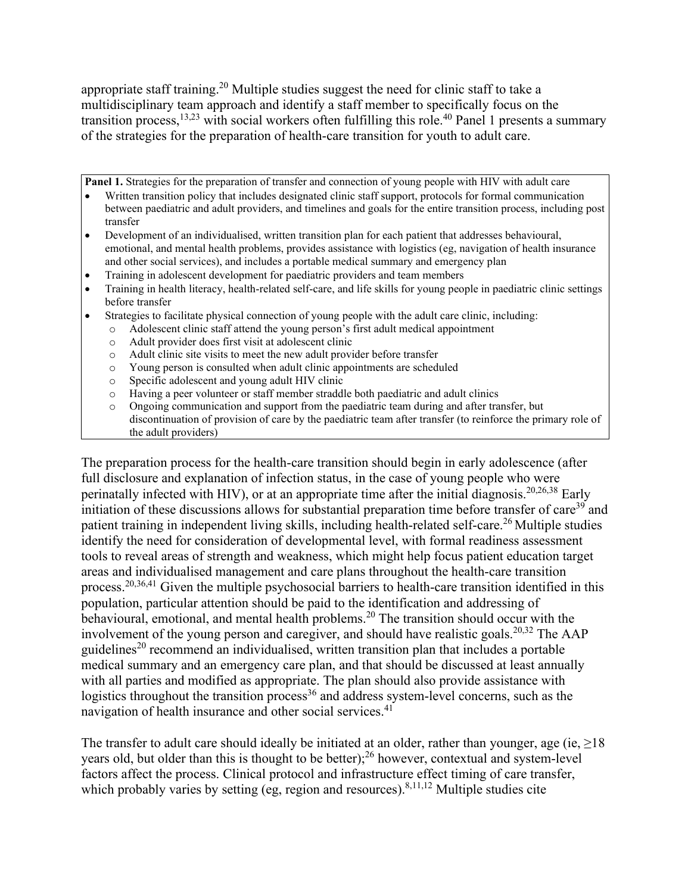appropriate staff training.20 Multiple studies suggest the need for clinic staff to take a multidisciplinary team approach and identify a staff member to specifically focus on the transition process,  $13,23$  with social workers often fulfilling this role.<sup>40</sup> Panel 1 presents a summary of the strategies for the preparation of health-care transition for youth to adult care.

**Panel 1.** Strategies for the preparation of transfer and connection of young people with HIV with adult care

- Written transition policy that includes designated clinic staff support, protocols for formal communication between paediatric and adult providers, and timelines and goals for the entire transition process, including post transfer
- Development of an individualised, written transition plan for each patient that addresses behavioural, emotional, and mental health problems, provides assistance with logistics (eg, navigation of health insurance and other social services), and includes a portable medical summary and emergency plan
- Training in adolescent development for paediatric providers and team members
- Training in health literacy, health-related self-care, and life skills for young people in paediatric clinic settings before transfer
- Strategies to facilitate physical connection of young people with the adult care clinic, including:
	- o Adolescent clinic staff attend the young person's first adult medical appointment
	- o Adult provider does first visit at adolescent clinic
	- o Adult clinic site visits to meet the new adult provider before transfer
	- o Young person is consulted when adult clinic appointments are scheduled
	- Specific adolescent and young adult HIV clinic
	- o Having a peer volunteer or staff member straddle both paediatric and adult clinics
	- o Ongoing communication and support from the paediatric team during and after transfer, but discontinuation of provision of care by the paediatric team after transfer (to reinforce the primary role of the adult providers)

The preparation process for the health-care transition should begin in early adolescence (after full disclosure and explanation of infection status, in the case of young people who were perinatally infected with HIV), or at an appropriate time after the initial diagnosis.<sup>20,26,38</sup> Early initiation of these discussions allows for substantial preparation time before transfer of care<sup>39</sup> and patient training in independent living skills, including health-related self-care.<sup>26</sup> Multiple studies identify the need for consideration of developmental level, with formal readiness assessment tools to reveal areas of strength and weakness, which might help focus patient education target areas and individualised management and care plans throughout the health-care transition process.20,36,41 Given the multiple psychosocial barriers to health-care transition identified in this population, particular attention should be paid to the identification and addressing of behavioural, emotional, and mental health problems.<sup>20</sup> The transition should occur with the involvement of the young person and caregiver, and should have realistic goals.<sup>20,32</sup> The AAP guidelines<sup>20</sup> recommend an individualised, written transition plan that includes a portable medical summary and an emergency care plan, and that should be discussed at least annually with all parties and modified as appropriate. The plan should also provide assistance with logistics throughout the transition process<sup>36</sup> and address system-level concerns, such as the navigation of health insurance and other social services.<sup>41</sup>

The transfer to adult care should ideally be initiated at an older, rather than younger, age (ie,  $\geq$ 18 years old, but older than this is thought to be better);  $26$  however, contextual and system-level factors affect the process. Clinical protocol and infrastructure effect timing of care transfer, which probably varies by setting (eg, region and resources).  $8,11,12$  Multiple studies cite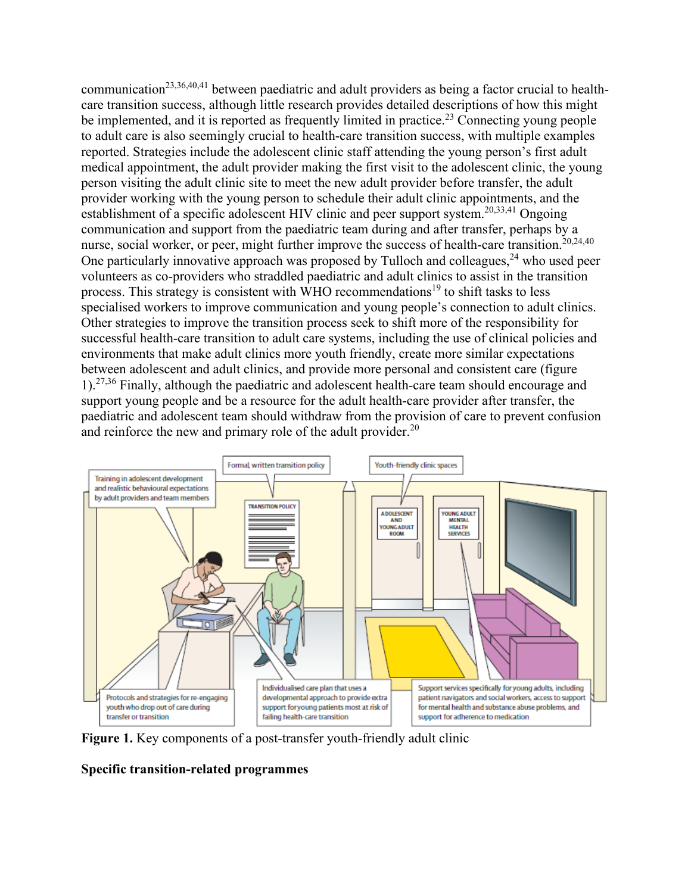communication<sup>23,36,40,41</sup> between paediatric and adult providers as being a factor crucial to healthcare transition success, although little research provides detailed descriptions of how this might be implemented, and it is reported as frequently limited in practice.<sup>23</sup> Connecting young people to adult care is also seemingly crucial to health-care transition success, with multiple examples reported. Strategies include the adolescent clinic staff attending the young person's first adult medical appointment, the adult provider making the first visit to the adolescent clinic, the young person visiting the adult clinic site to meet the new adult provider before transfer, the adult provider working with the young person to schedule their adult clinic appointments, and the establishment of a specific adolescent HIV clinic and peer support system.<sup>20,33,41</sup> Ongoing communication and support from the paediatric team during and after transfer, perhaps by a nurse, social worker, or peer, might further improve the success of health-care transition.<sup>20,24,40</sup> One particularly innovative approach was proposed by Tulloch and colleagues,<sup>24</sup> who used peer volunteers as co-providers who straddled paediatric and adult clinics to assist in the transition process. This strategy is consistent with WHO recommendations<sup>19</sup> to shift tasks to less specialised workers to improve communication and young people's connection to adult clinics. Other strategies to improve the transition process seek to shift more of the responsibility for successful health-care transition to adult care systems, including the use of clinical policies and environments that make adult clinics more youth friendly, create more similar expectations between adolescent and adult clinics, and provide more personal and consistent care (figure  $1$ .<sup>27,36</sup> Finally, although the paediatric and adolescent health-care team should encourage and support young people and be a resource for the adult health-care provider after transfer, the paediatric and adolescent team should withdraw from the provision of care to prevent confusion and reinforce the new and primary role of the adult provider.<sup>20</sup>



**Figure 1.** Key components of a post-transfer youth-friendly adult clinic

## **Specific transition-related programmes**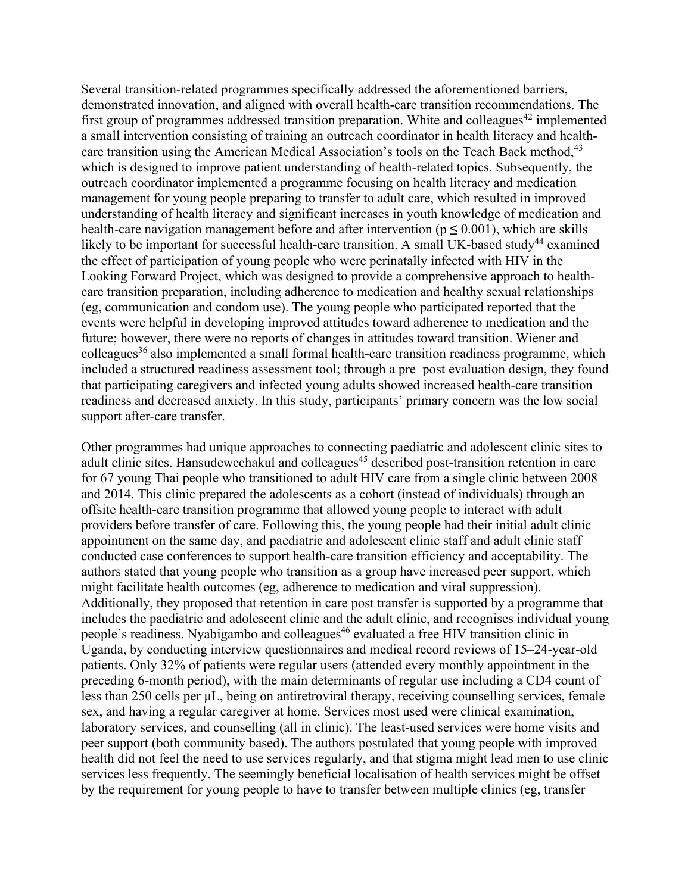Several transition-related programmes specifically addressed the aforementioned barriers, demonstrated innovation, and aligned with overall health-care transition recommendations. The first group of programmes addressed transition preparation. White and colleagues<sup>42</sup> implemented a small intervention consisting of training an outreach coordinator in health literacy and healthcare transition using the American Medical Association's tools on the Teach Back method,<sup>43</sup> which is designed to improve patient understanding of health-related topics. Subsequently, the outreach coordinator implemented a programme focusing on health literacy and medication management for young people preparing to transfer to adult care, which resulted in improved understanding of health literacy and significant increases in youth knowledge of medication and health-care navigation management before and after intervention ( $p \le 0.001$ ), which are skills likely to be important for successful health-care transition. A small UK-based study<sup>44</sup> examined the effect of participation of young people who were perinatally infected with HIV in the Looking Forward Project, which was designed to provide a comprehensive approach to healthcare transition preparation, including adherence to medication and healthy sexual relationships (eg, communication and condom use). The young people who participated reported that the events were helpful in developing improved attitudes toward adherence to medication and the future; however, there were no reports of changes in attitudes toward transition. Wiener and  $\text{colleagues}^{36}$  also implemented a small formal health-care transition readiness programme, which included a structured readiness assessment tool; through a pre–post evaluation design, they found that participating caregivers and infected young adults showed increased health-care transition readiness and decreased anxiety. In this study, participants' primary concern was the low social support after-care transfer.

Other programmes had unique approaches to connecting paediatric and adolescent clinic sites to adult clinic sites. Hansudewechakul and colleagues<sup>45</sup> described post-transition retention in care for 67 young Thai people who transitioned to adult HIV care from a single clinic between 2008 and 2014. This clinic prepared the adolescents as a cohort (instead of individuals) through an offsite health-care transition programme that allowed young people to interact with adult providers before transfer of care. Following this, the young people had their initial adult clinic appointment on the same day, and paediatric and adolescent clinic staff and adult clinic staff conducted case conferences to support health-care transition efficiency and acceptability. The authors stated that young people who transition as a group have increased peer support, which might facilitate health outcomes (eg, adherence to medication and viral suppression). Additionally, they proposed that retention in care post transfer is supported by a programme that includes the paediatric and adolescent clinic and the adult clinic, and recognises individual young people's readiness. Nyabigambo and colleagues<sup>46</sup> evaluated a free HIV transition clinic in Uganda, by conducting interview questionnaires and medical record reviews of 15–24-year-old patients. Only 32% of patients were regular users (attended every monthly appointment in the preceding 6-month period), with the main determinants of regular use including a CD4 count of less than 250 cells per μL, being on antiretroviral therapy, receiving counselling services, female sex, and having a regular caregiver at home. Services most used were clinical examination, laboratory services, and counselling (all in clinic). The least-used services were home visits and peer support (both community based). The authors postulated that young people with improved health did not feel the need to use services regularly, and that stigma might lead men to use clinic services less frequently. The seemingly beneficial localisation of health services might be offset by the requirement for young people to have to transfer between multiple clinics (eg, transfer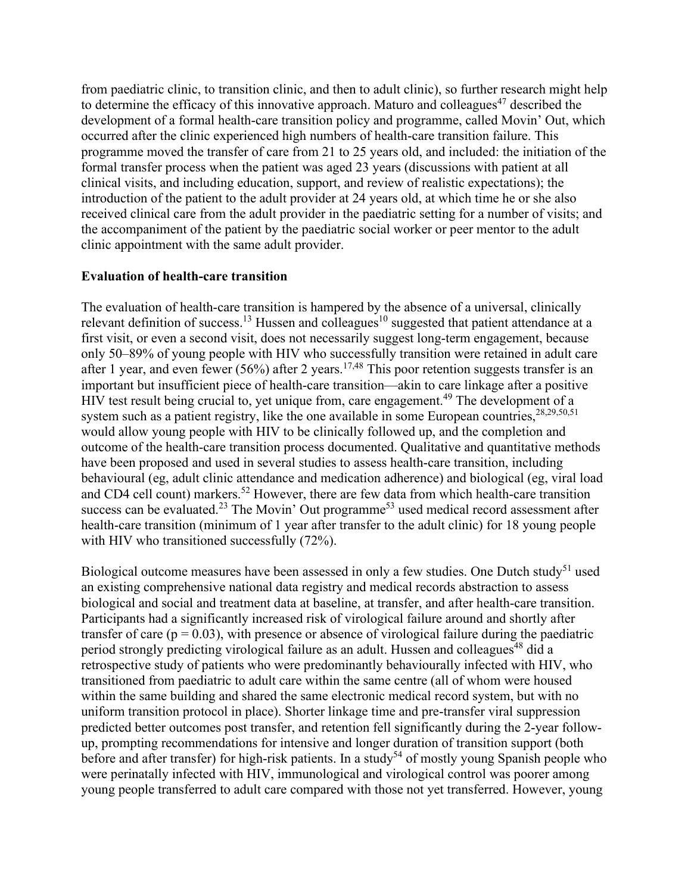from paediatric clinic, to transition clinic, and then to adult clinic), so further research might help to determine the efficacy of this innovative approach. Maturo and colleagues<sup>47</sup> described the development of a formal health-care transition policy and programme, called Movin' Out, which occurred after the clinic experienced high numbers of health-care transition failure. This programme moved the transfer of care from 21 to 25 years old, and included: the initiation of the formal transfer process when the patient was aged 23 years (discussions with patient at all clinical visits, and including education, support, and review of realistic expectations); the introduction of the patient to the adult provider at 24 years old, at which time he or she also received clinical care from the adult provider in the paediatric setting for a number of visits; and the accompaniment of the patient by the paediatric social worker or peer mentor to the adult clinic appointment with the same adult provider.

#### **Evaluation of health-care transition**

The evaluation of health-care transition is hampered by the absence of a universal, clinically relevant definition of success.<sup>13</sup> Hussen and colleagues<sup>10</sup> suggested that patient attendance at a first visit, or even a second visit, does not necessarily suggest long-term engagement, because only 50–89% of young people with HIV who successfully transition were retained in adult care after 1 year, and even fewer (56%) after 2 years.<sup>17,48</sup> This poor retention suggests transfer is an important but insufficient piece of health-care transition—akin to care linkage after a positive HIV test result being crucial to, yet unique from, care engagement.<sup>49</sup> The development of a system such as a patient registry, like the one available in some European countries,  $28,29,50,51$ would allow young people with HIV to be clinically followed up, and the completion and outcome of the health-care transition process documented. Qualitative and quantitative methods have been proposed and used in several studies to assess health-care transition, including behavioural (eg, adult clinic attendance and medication adherence) and biological (eg, viral load and CD4 cell count) markers.<sup>52</sup> However, there are few data from which health-care transition success can be evaluated.<sup>23</sup> The Movin' Out programme<sup>53</sup> used medical record assessment after health-care transition (minimum of 1 year after transfer to the adult clinic) for 18 young people with HIV who transitioned successfully (72%).

Biological outcome measures have been assessed in only a few studies. One Dutch study<sup>51</sup> used an existing comprehensive national data registry and medical records abstraction to assess biological and social and treatment data at baseline, at transfer, and after health-care transition. Participants had a significantly increased risk of virological failure around and shortly after transfer of care ( $p = 0.03$ ), with presence or absence of virological failure during the paediatric period strongly predicting virological failure as an adult. Hussen and colleagues<sup>48</sup> did a retrospective study of patients who were predominantly behaviourally infected with HIV, who transitioned from paediatric to adult care within the same centre (all of whom were housed within the same building and shared the same electronic medical record system, but with no uniform transition protocol in place). Shorter linkage time and pre-transfer viral suppression predicted better outcomes post transfer, and retention fell significantly during the 2-year followup, prompting recommendations for intensive and longer duration of transition support (both before and after transfer) for high-risk patients. In a study<sup>54</sup> of mostly young Spanish people who were perinatally infected with HIV, immunological and virological control was poorer among young people transferred to adult care compared with those not yet transferred. However, young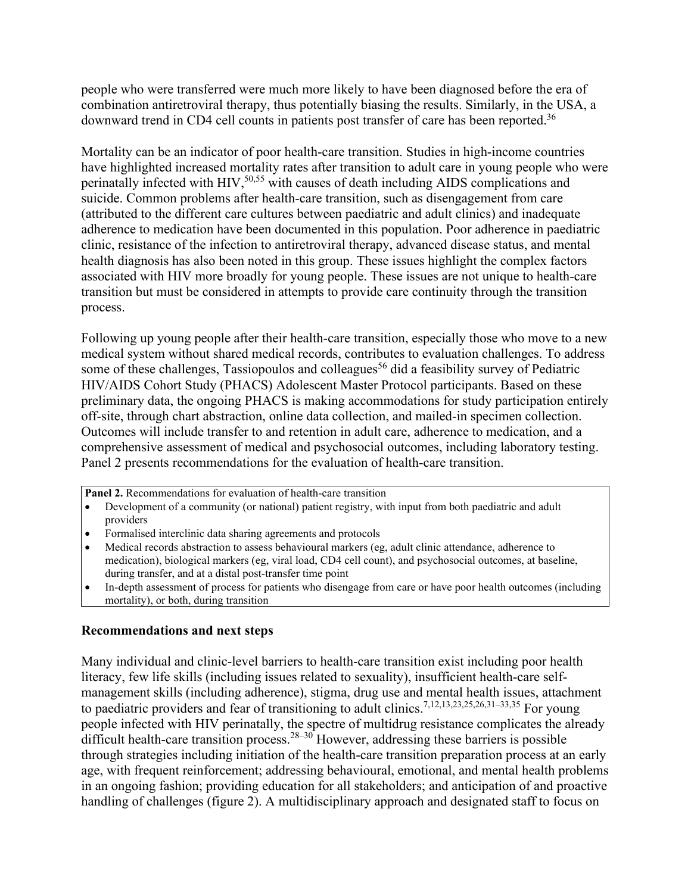people who were transferred were much more likely to have been diagnosed before the era of combination antiretroviral therapy, thus potentially biasing the results. Similarly, in the USA, a downward trend in CD4 cell counts in patients post transfer of care has been reported.<sup>36</sup>

Mortality can be an indicator of poor health-care transition. Studies in high-income countries have highlighted increased mortality rates after transition to adult care in young people who were perinatally infected with HIV,  $50,55$  with causes of death including AIDS complications and suicide. Common problems after health-care transition, such as disengagement from care (attributed to the different care cultures between paediatric and adult clinics) and inadequate adherence to medication have been documented in this population. Poor adherence in paediatric clinic, resistance of the infection to antiretroviral therapy, advanced disease status, and mental health diagnosis has also been noted in this group. These issues highlight the complex factors associated with HIV more broadly for young people. These issues are not unique to health-care transition but must be considered in attempts to provide care continuity through the transition process.

Following up young people after their health-care transition, especially those who move to a new medical system without shared medical records, contributes to evaluation challenges. To address some of these challenges, Tassiopoulos and colleagues<sup>56</sup> did a feasibility survey of Pediatric HIV/AIDS Cohort Study (PHACS) Adolescent Master Protocol participants. Based on these preliminary data, the ongoing PHACS is making accommodations for study participation entirely off-site, through chart abstraction, online data collection, and mailed-in specimen collection. Outcomes will include transfer to and retention in adult care, adherence to medication, and a comprehensive assessment of medical and psychosocial outcomes, including laboratory testing. Panel 2 presents recommendations for the evaluation of health-care transition.

**Panel 2.** Recommendations for evaluation of health-care transition

- Development of a community (or national) patient registry, with input from both paediatric and adult providers
- Formalised interclinic data sharing agreements and protocols
- Medical records abstraction to assess behavioural markers (eg, adult clinic attendance, adherence to medication), biological markers (eg, viral load, CD4 cell count), and psychosocial outcomes, at baseline, during transfer, and at a distal post-transfer time point
- In-depth assessment of process for patients who disengage from care or have poor health outcomes (including mortality), or both, during transition

## **Recommendations and next steps**

Many individual and clinic-level barriers to health-care transition exist including poor health literacy, few life skills (including issues related to sexuality), insufficient health-care selfmanagement skills (including adherence), stigma, drug use and mental health issues, attachment to paediatric providers and fear of transitioning to adult clinics.7,12,13,23,25,26,31–33,35 For young people infected with HIV perinatally, the spectre of multidrug resistance complicates the already difficult health-care transition process.<sup>28–30</sup> However, addressing these barriers is possible through strategies including initiation of the health-care transition preparation process at an early age, with frequent reinforcement; addressing behavioural, emotional, and mental health problems in an ongoing fashion; providing education for all stakeholders; and anticipation of and proactive handling of challenges (figure 2). A multidisciplinary approach and designated staff to focus on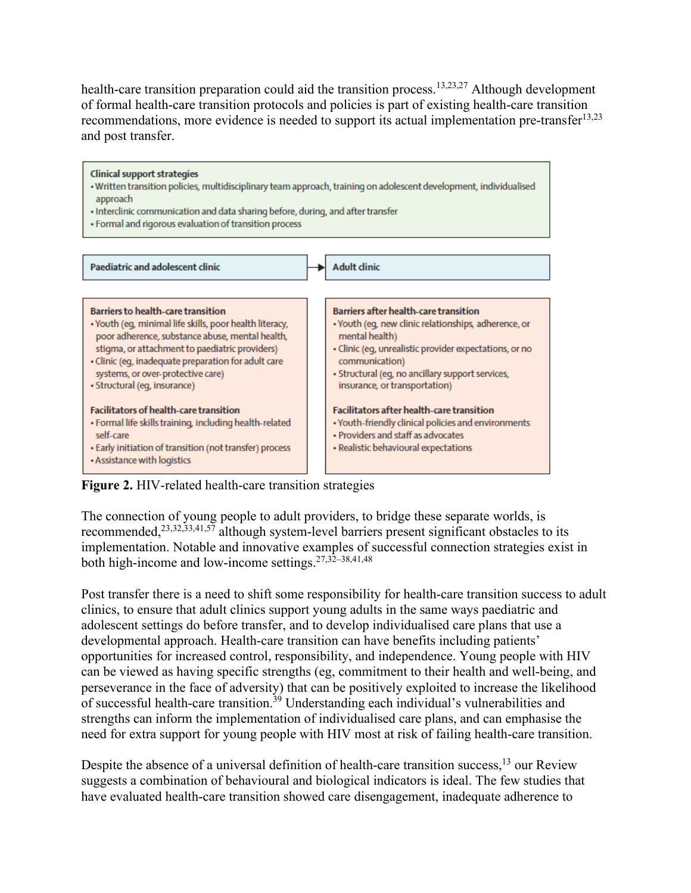health-care transition preparation could aid the transition process.<sup>13,23,27</sup> Although development of formal health-care transition protocols and policies is part of existing health-care transition recommendations, more evidence is needed to support its actual implementation pre-transfer<sup>13,23</sup> and post transfer.



**Figure 2.** HIV-related health-care transition strategies

The connection of young people to adult providers, to bridge these separate worlds, is recommended,<sup>23,32,33,41,57</sup> although system-level barriers present significant obstacles to its implementation. Notable and innovative examples of successful connection strategies exist in both high-income and low-income settings. $27,32-38,41,48$ 

Post transfer there is a need to shift some responsibility for health-care transition success to adult clinics, to ensure that adult clinics support young adults in the same ways paediatric and adolescent settings do before transfer, and to develop individualised care plans that use a developmental approach. Health-care transition can have benefits including patients' opportunities for increased control, responsibility, and independence. Young people with HIV can be viewed as having specific strengths (eg, commitment to their health and well-being, and perseverance in the face of adversity) that can be positively exploited to increase the likelihood of successful health-care transition.<sup>39</sup> Understanding each individual's vulnerabilities and strengths can inform the implementation of individualised care plans, and can emphasise the need for extra support for young people with HIV most at risk of failing health-care transition.

Despite the absence of a universal definition of health-care transition success,<sup>13</sup> our Review suggests a combination of behavioural and biological indicators is ideal. The few studies that have evaluated health-care transition showed care disengagement, inadequate adherence to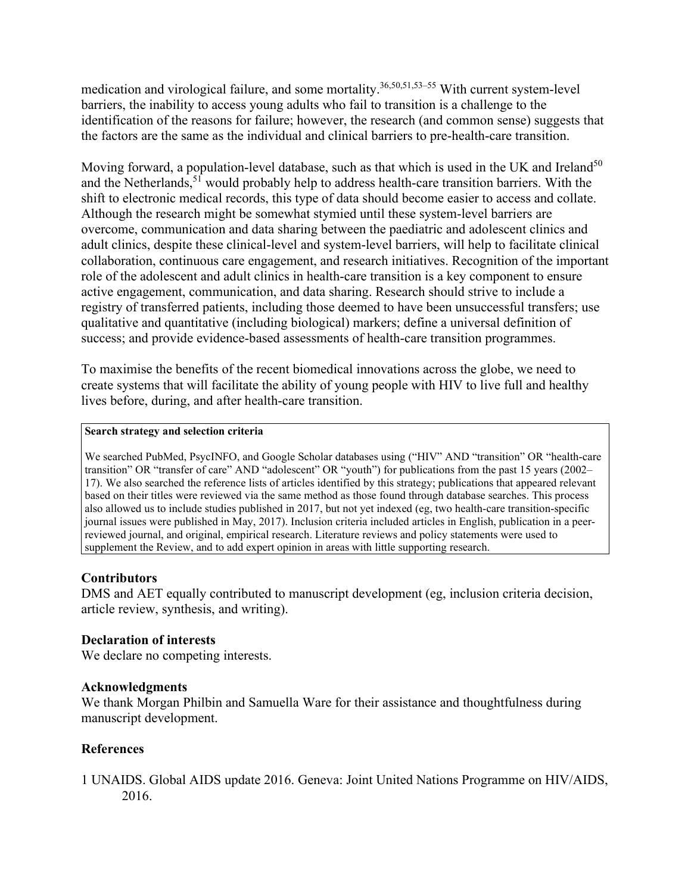medication and virological failure, and some mortality.<sup>36,50,51,53–55</sup> With current system-level barriers, the inability to access young adults who fail to transition is a challenge to the identification of the reasons for failure; however, the research (and common sense) suggests that the factors are the same as the individual and clinical barriers to pre-health-care transition.

Moving forward, a population-level database, such as that which is used in the UK and Ireland<sup>50</sup> and the Netherlands,<sup>51</sup> would probably help to address health-care transition barriers. With the shift to electronic medical records, this type of data should become easier to access and collate. Although the research might be somewhat stymied until these system-level barriers are overcome, communication and data sharing between the paediatric and adolescent clinics and adult clinics, despite these clinical-level and system-level barriers, will help to facilitate clinical collaboration, continuous care engagement, and research initiatives. Recognition of the important role of the adolescent and adult clinics in health-care transition is a key component to ensure active engagement, communication, and data sharing. Research should strive to include a registry of transferred patients, including those deemed to have been unsuccessful transfers; use qualitative and quantitative (including biological) markers; define a universal definition of success; and provide evidence-based assessments of health-care transition programmes.

To maximise the benefits of the recent biomedical innovations across the globe, we need to create systems that will facilitate the ability of young people with HIV to live full and healthy lives before, during, and after health-care transition.

#### **Search strategy and selection criteria**

We searched PubMed, PsycINFO, and Google Scholar databases using ("HIV" AND "transition" OR "health-care transition" OR "transfer of care" AND "adolescent" OR "youth") for publications from the past 15 years (2002– 17). We also searched the reference lists of articles identified by this strategy; publications that appeared relevant based on their titles were reviewed via the same method as those found through database searches. This process also allowed us to include studies published in 2017, but not yet indexed (eg, two health-care transition-specific journal issues were published in May, 2017). Inclusion criteria included articles in English, publication in a peerreviewed journal, and original, empirical research. Literature reviews and policy statements were used to supplement the Review, and to add expert opinion in areas with little supporting research.

#### **Contributors**

DMS and AET equally contributed to manuscript development (eg, inclusion criteria decision, article review, synthesis, and writing).

## **Declaration of interests**

We declare no competing interests.

#### **Acknowledgments**

We thank Morgan Philbin and Samuella Ware for their assistance and thoughtfulness during manuscript development.

## **References**

1 UNAIDS. Global AIDS update 2016. Geneva: Joint United Nations Programme on HIV/AIDS, 2016.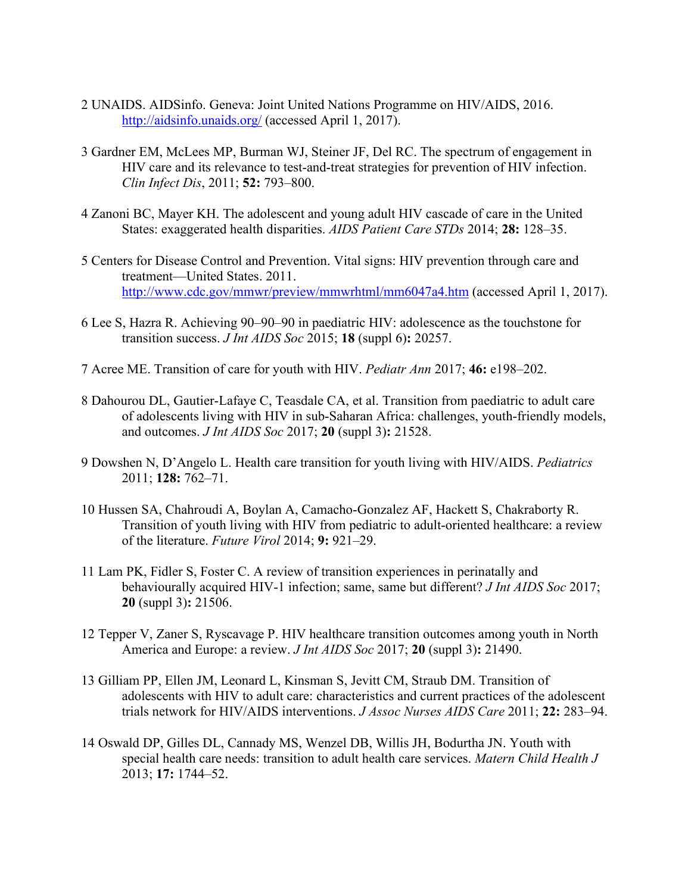- 2 UNAIDS. AIDSinfo. Geneva: Joint United Nations Programme on HIV/AIDS, 2016. <http://aidsinfo.unaids.org/> (accessed April 1, 2017).
- 3 Gardner EM, McLees MP, Burman WJ, Steiner JF, Del RC. The spectrum of engagement in HIV care and its relevance to test-and-treat strategies for prevention of HIV infection. *Clin Infect Dis*, 2011; **52:** 793–800.
- 4 Zanoni BC, Mayer KH. The adolescent and young adult HIV cascade of care in the United States: exaggerated health disparities. *AIDS Patient Care STDs* 2014; **28:** 128–35.
- 5 Centers for Disease Control and Prevention. Vital signs: HIV prevention through care and treatment—United States. 2011. <http://www.cdc.gov/mmwr/preview/mmwrhtml/mm6047a4.htm> (accessed April 1, 2017).
- 6 Lee S, Hazra R. Achieving 90–90–90 in paediatric HIV: adolescence as the touchstone for transition success. *J Int AIDS Soc* 2015; **18** (suppl 6)**:** 20257.
- 7 Acree ME. Transition of care for youth with HIV. *Pediatr Ann* 2017; **46:** e198–202.
- 8 Dahourou DL, Gautier-Lafaye C, Teasdale CA, et al. Transition from paediatric to adult care of adolescents living with HIV in sub-Saharan Africa: challenges, youth-friendly models, and outcomes. *J Int AIDS Soc* 2017; **20** (suppl 3)**:** 21528.
- 9 Dowshen N, D'Angelo L. Health care transition for youth living with HIV/AIDS. *Pediatrics*  2011; **128:** 762–71.
- 10 Hussen SA, Chahroudi A, Boylan A, Camacho-Gonzalez AF, Hackett S, Chakraborty R. Transition of youth living with HIV from pediatric to adult-oriented healthcare: a review of the literature. *Future Virol* 2014; **9:** 921–29.
- 11 Lam PK, Fidler S, Foster C. A review of transition experiences in perinatally and behaviourally acquired HIV-1 infection; same, same but different? *J Int AIDS Soc* 2017; **20** (suppl 3)**:** 21506.
- 12 Tepper V, Zaner S, Ryscavage P. HIV healthcare transition outcomes among youth in North America and Europe: a review. *J Int AIDS Soc* 2017; **20** (suppl 3)**:** 21490.
- 13 Gilliam PP, Ellen JM, Leonard L, Kinsman S, Jevitt CM, Straub DM. Transition of adolescents with HIV to adult care: characteristics and current practices of the adolescent trials network for HIV/AIDS interventions. *J Assoc Nurses AIDS Care* 2011; **22:** 283–94.
- 14 Oswald DP, Gilles DL, Cannady MS, Wenzel DB, Willis JH, Bodurtha JN. Youth with special health care needs: transition to adult health care services. *Matern Child Health J*  2013; **17:** 1744–52.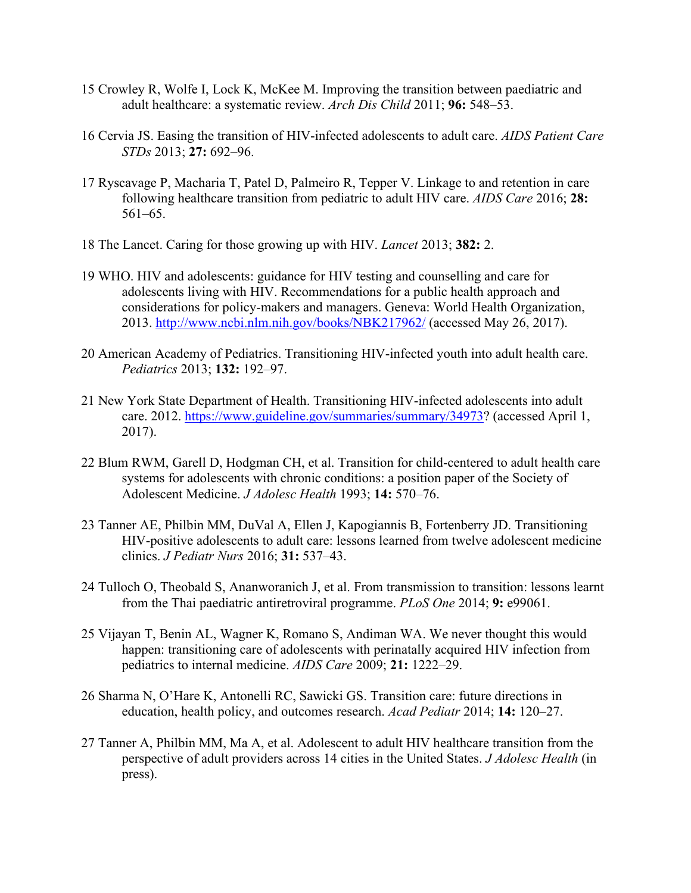- 15 Crowley R, Wolfe I, Lock K, McKee M. Improving the transition between paediatric and adult healthcare: a systematic review. *Arch Dis Child* 2011; **96:** 548–53.
- 16 Cervia JS. Easing the transition of HIV-infected adolescents to adult care. *AIDS Patient Care STDs* 2013; **27:** 692–96.
- 17 Ryscavage P, Macharia T, Patel D, Palmeiro R, Tepper V. Linkage to and retention in care following healthcare transition from pediatric to adult HIV care. *AIDS Care* 2016; **28:**  561–65.
- 18 The Lancet. Caring for those growing up with HIV. *Lancet* 2013; **382:** 2.
- 19 WHO. HIV and adolescents: guidance for HIV testing and counselling and care for adolescents living with HIV. Recommendations for a public health approach and considerations for policy-makers and managers. Geneva: World Health Organization, 2013. <http://www.ncbi.nlm.nih.gov/books/NBK217962/> (accessed May 26, 2017).
- 20 American Academy of Pediatrics. Transitioning HIV-infected youth into adult health care. *Pediatrics* 2013; **132:** 192–97.
- 21 New York State Department of Health. Transitioning HIV-infected adolescents into adult care. 2012. [https://www.guideline.gov/summaries/summary/34973?](https://www.guideline.gov/summaries/summary/34973) (accessed April 1, 2017).
- 22 Blum RWM, Garell D, Hodgman CH, et al. Transition for child-centered to adult health care systems for adolescents with chronic conditions: a position paper of the Society of Adolescent Medicine. *J Adolesc Health* 1993; **14:** 570–76.
- 23 Tanner AE, Philbin MM, DuVal A, Ellen J, Kapogiannis B, Fortenberry JD. Transitioning HIV-positive adolescents to adult care: lessons learned from twelve adolescent medicine clinics. *J Pediatr Nurs* 2016; **31:** 537–43.
- 24 Tulloch O, Theobald S, Ananworanich J, et al. From transmission to transition: lessons learnt from the Thai paediatric antiretroviral programme. *PLoS One* 2014; **9:** e99061.
- 25 Vijayan T, Benin AL, Wagner K, Romano S, Andiman WA. We never thought this would happen: transitioning care of adolescents with perinatally acquired HIV infection from pediatrics to internal medicine. *AIDS Care* 2009; **21:** 1222–29.
- 26 Sharma N, O'Hare K, Antonelli RC, Sawicki GS. Transition care: future directions in education, health policy, and outcomes research. *Acad Pediatr* 2014; **14:** 120–27.
- 27 Tanner A, Philbin MM, Ma A, et al. Adolescent to adult HIV healthcare transition from the perspective of adult providers across 14 cities in the United States. *J Adolesc Health* (in press).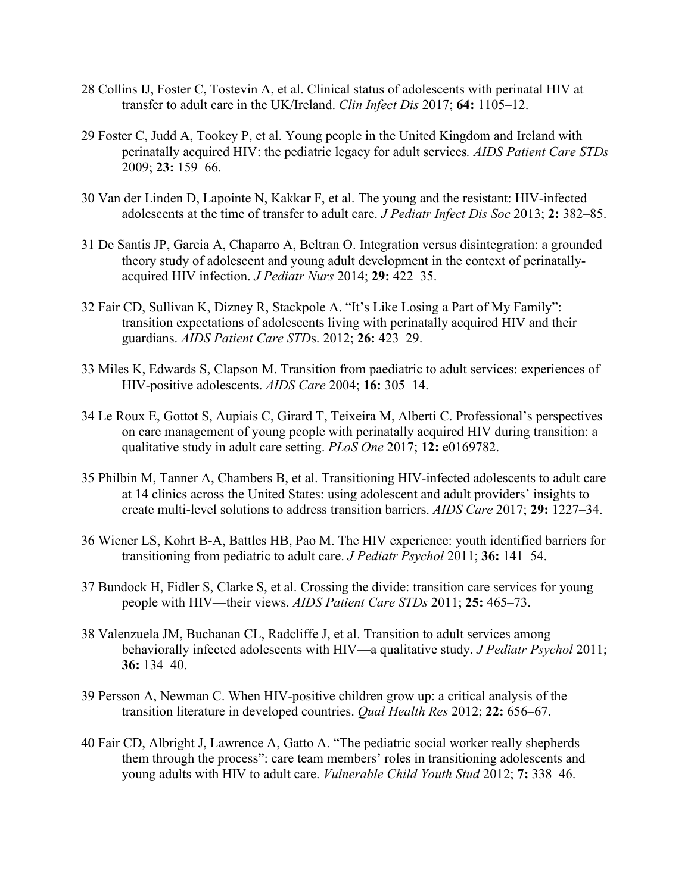- 28 Collins IJ, Foster C, Tostevin A, et al. Clinical status of adolescents with perinatal HIV at transfer to adult care in the UK/Ireland. *Clin Infect Dis* 2017; **64:** 1105–12.
- 29 Foster C, Judd A, Tookey P, et al. Young people in the United Kingdom and Ireland with perinatally acquired HIV: the pediatric legacy for adult services*. AIDS Patient Care STDs*  2009; **23:** 159–66.
- 30 Van der Linden D, Lapointe N, Kakkar F, et al. The young and the resistant: HIV-infected adolescents at the time of transfer to adult care. *J Pediatr Infect Dis Soc* 2013; **2:** 382–85.
- 31 De Santis JP, Garcia A, Chaparro A, Beltran O. Integration versus disintegration: a grounded theory study of adolescent and young adult development in the context of perinatallyacquired HIV infection. *J Pediatr Nurs* 2014; **29:** 422–35.
- 32 Fair CD, Sullivan K, Dizney R, Stackpole A. "It's Like Losing a Part of My Family": transition expectations of adolescents living with perinatally acquired HIV and their guardians. *AIDS Patient Care STD*s. 2012; **26:** 423–29.
- 33 Miles K, Edwards S, Clapson M. Transition from paediatric to adult services: experiences of HIV-positive adolescents. *AIDS Care* 2004; **16:** 305–14.
- 34 Le Roux E, Gottot S, Aupiais C, Girard T, Teixeira M, Alberti C. Professional's perspectives on care management of young people with perinatally acquired HIV during transition: a qualitative study in adult care setting. *PLoS One* 2017; **12:** e0169782.
- 35 Philbin M, Tanner A, Chambers B, et al. Transitioning HIV-infected adolescents to adult care at 14 clinics across the United States: using adolescent and adult providers' insights to create multi-level solutions to address transition barriers. *AIDS Care* 2017; **29:** 1227–34.
- 36 Wiener LS, Kohrt B-A, Battles HB, Pao M. The HIV experience: youth identified barriers for transitioning from pediatric to adult care. *J Pediatr Psychol* 2011; **36:** 141–54.
- 37 Bundock H, Fidler S, Clarke S, et al. Crossing the divide: transition care services for young people with HIV—their views. *AIDS Patient Care STDs* 2011; **25:** 465–73.
- 38 Valenzuela JM, Buchanan CL, Radcliffe J, et al. Transition to adult services among behaviorally infected adolescents with HIV—a qualitative study. *J Pediatr Psychol* 2011; **36:** 134–40.
- 39 Persson A, Newman C. When HIV-positive children grow up: a critical analysis of the transition literature in developed countries. *Qual Health Res* 2012; **22:** 656–67.
- 40 Fair CD, Albright J, Lawrence A, Gatto A. "The pediatric social worker really shepherds them through the process": care team members' roles in transitioning adolescents and young adults with HIV to adult care. *Vulnerable Child Youth Stud* 2012; **7:** 338–46.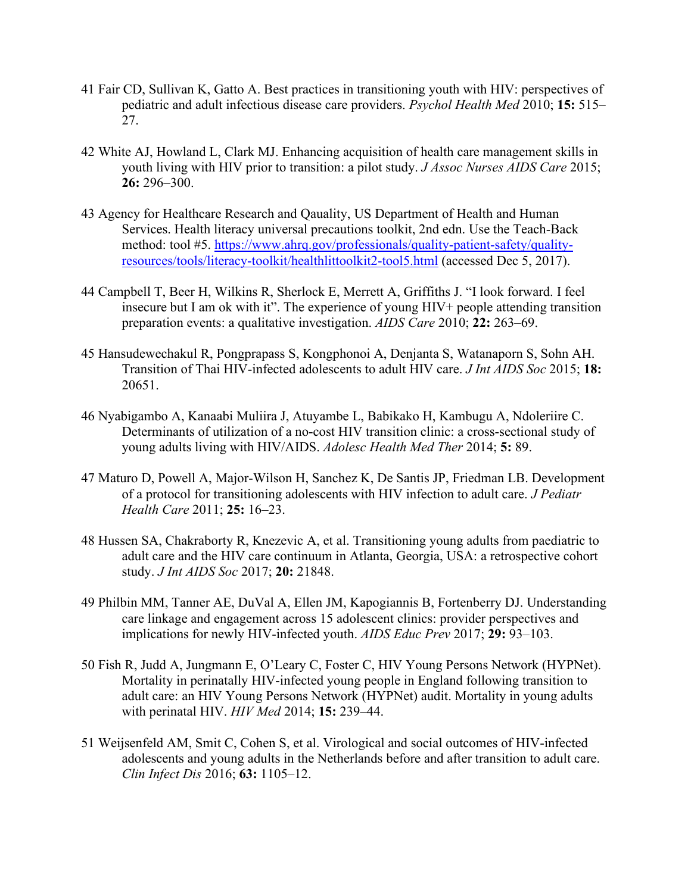- 41 Fair CD, Sullivan K, Gatto A. Best practices in transitioning youth with HIV: perspectives of pediatric and adult infectious disease care providers. *Psychol Health Med* 2010; **15:** 515– 27.
- 42 White AJ, Howland L, Clark MJ. Enhancing acquisition of health care management skills in youth living with HIV prior to transition: a pilot study. *J Assoc Nurses AIDS Care* 2015; **26:** 296–300.
- 43 Agency for Healthcare Research and Qauality, US Department of Health and Human Services. Health literacy universal precautions toolkit, 2nd edn. Use the Teach-Back method: tool #5. [https://www.ahrq.gov/professionals/quality-patient-safety/quality](https://www.ahrq.gov/professionals/quality-patient-safety/quality-resources/tools/literacy-toolkit/healthlittoolkit2-tool5.html)[resources/tools/literacy-toolkit/healthlittoolkit2-tool5.html](https://www.ahrq.gov/professionals/quality-patient-safety/quality-resources/tools/literacy-toolkit/healthlittoolkit2-tool5.html) (accessed Dec 5, 2017).
- 44 Campbell T, Beer H, Wilkins R, Sherlock E, Merrett A, Griffiths J. "I look forward. I feel insecure but I am ok with it". The experience of young HIV+ people attending transition preparation events: a qualitative investigation. *AIDS Care* 2010; **22:** 263–69.
- 45 Hansudewechakul R, Pongprapass S, Kongphonoi A, Denjanta S, Watanaporn S, Sohn AH. Transition of Thai HIV-infected adolescents to adult HIV care. *J Int AIDS Soc* 2015; **18:**  20651.
- 46 Nyabigambo A, Kanaabi Muliira J, Atuyambe L, Babikako H, Kambugu A, Ndoleriire C. Determinants of utilization of a no-cost HIV transition clinic: a cross-sectional study of young adults living with HIV/AIDS. *Adolesc Health Med Ther* 2014; **5:** 89.
- 47 Maturo D, Powell A, Major-Wilson H, Sanchez K, De Santis JP, Friedman LB. Development of a protocol for transitioning adolescents with HIV infection to adult care. *J Pediatr Health Care* 2011; **25:** 16–23.
- 48 Hussen SA, Chakraborty R, Knezevic A, et al. Transitioning young adults from paediatric to adult care and the HIV care continuum in Atlanta, Georgia, USA: a retrospective cohort study. *J Int AIDS Soc* 2017; **20:** 21848.
- 49 Philbin MM, Tanner AE, DuVal A, Ellen JM, Kapogiannis B, Fortenberry DJ. Understanding care linkage and engagement across 15 adolescent clinics: provider perspectives and implications for newly HIV-infected youth. *AIDS Educ Prev* 2017; **29:** 93–103.
- 50 Fish R, Judd A, Jungmann E, O'Leary C, Foster C, HIV Young Persons Network (HYPNet). Mortality in perinatally HIV-infected young people in England following transition to adult care: an HIV Young Persons Network (HYPNet) audit. Mortality in young adults with perinatal HIV. *HIV Med* 2014; **15:** 239–44.
- 51 Weijsenfeld AM, Smit C, Cohen S, et al. Virological and social outcomes of HIV-infected adolescents and young adults in the Netherlands before and after transition to adult care. *Clin Infect Dis* 2016; **63:** 1105–12.